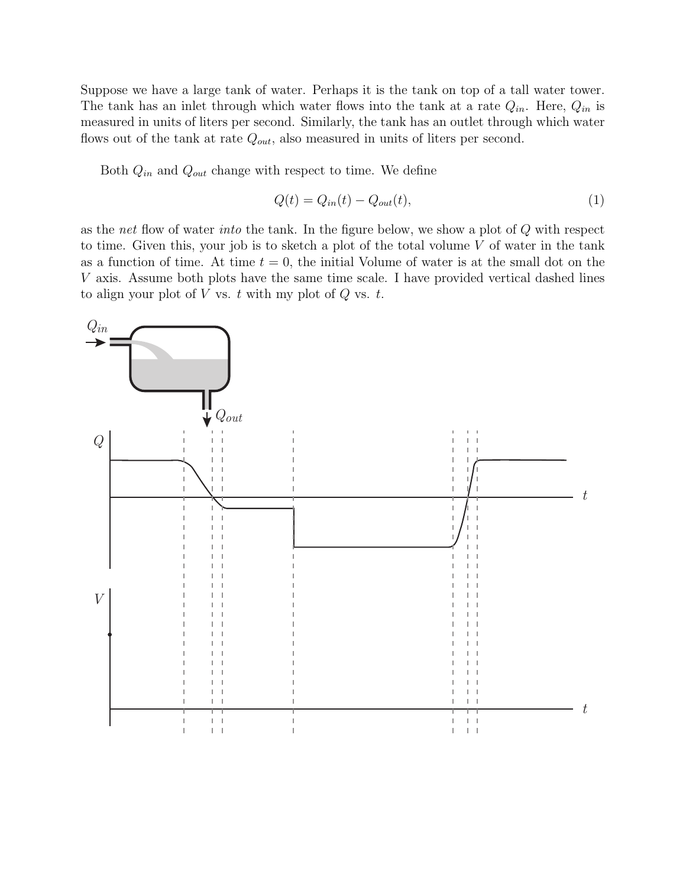Suppose we have a large tank of water. Perhaps it is the tank on top of a tall water tower. The tank has an inlet through which water flows into the tank at a rate  $Q_{in}$ . Here,  $Q_{in}$  is measured in units of liters per second. Similarly, the tank has an outlet through which water flows out of the tank at rate  $Q_{out}$ , also measured in units of liters per second.

Both  $Q_{in}$  and  $Q_{out}$  change with respect to time. We define

$$
Q(t) = Q_{in}(t) - Q_{out}(t),\tag{1}
$$

as the net flow of water into the tank. In the figure below, we show a plot of Q with respect to time. Given this, your job is to sketch a plot of the total volume  $V$  of water in the tank as a function of time. At time  $t = 0$ , the initial Volume of water is at the small dot on the V axis. Assume both plots have the same time scale. I have provided vertical dashed lines to align your plot of  $V$  vs.  $t$  with my plot of  $Q$  vs.  $t$ .